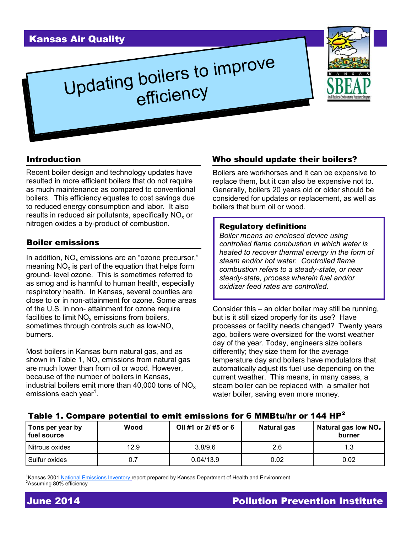# Kansas Air Quality

# Updating boilers to improve efficiency



#### Introduction

Recent boiler design and technology updates have resulted in more efficient boilers that do not require as much maintenance as compared to conventional boilers. This efficiency equates to cost savings due to reduced energy consumption and labor. It also results in reduced air pollutants, specifically  $NO<sub>x</sub>$  or nitrogen oxides a by-product of combustion.

#### Boiler emissions

In addition,  $NO<sub>x</sub>$  emissions are an "ozone precursor," meaning  $NO<sub>x</sub>$  is part of the equation that helps form ground- level ozone. This is sometimes referred to as smog and is harmful to human health, especially respiratory health. In Kansas, several counties are close to or in non-attainment for ozone. Some areas of the U.S. in non- attainment for ozone require facilities to limit  $NO<sub>x</sub>$  emissions from boilers, sometimes through controls such as low- $NO<sub>x</sub>$ burners.

Most boilers in Kansas burn natural gas, and as shown in Table 1,  $NO<sub>x</sub>$  emissions from natural gas are much lower than from oil or wood. However, because of the number of boilers in Kansas, industrial boilers emit more than 40,000 tons of  $NO<sub>x</sub>$ emissions each year<sup>1</sup>.

#### Who should update their boilers?

Boilers are workhorses and it can be expensive to replace them, but it can also be expensive not to. Generally, boilers 20 years old or older should be considered for updates or replacement, as well as boilers that burn oil or wood.

#### Regulatory definition:

*Boiler means an enclosed device using controlled flame combustion in which water is heated to recover thermal energy in the form of steam and/or hot water. Controlled flame combustion refers to a steady-state, or near steady-state, process wherein fuel and/or oxidizer feed rates are controlled.*

Consider this – an older boiler may still be running, but is it still sized properly for its use? Have processes or facility needs changed? Twenty years ago, boilers were oversized for the worst weather day of the year. Today, engineers size boilers differently; they size them for the average temperature day and boilers have modulators that automatically adjust its fuel use depending on the current weather. This means, in many cases, a steam boiler can be replaced with a smaller hot water boiler, saving even more money.

#### Table 1. Compare potential to emit emissions for 6 MMBtu/hr or 144 HP<sup>2</sup>

| Tons per year by<br>fuel source | Wood | Oil #1 or 2/ #5 or 6 | Natural gas | Natural gas low $NOx$<br>burner |
|---------------------------------|------|----------------------|-------------|---------------------------------|
| Nitrous oxides                  | 12.9 | 3.8/9.6              | 2.6         | .3                              |
| Sulfur oxides                   | 0.7  | 0.04/13.9            | 0.02        | 0.02                            |

<sup>1</sup>Kansas 2001 [National Emissions Inventory](http://www.epa.gov/ttn/chief/net/2011inventory.html#below) report prepared by Kansas Department of Health and Environment <sup>2</sup>Assuming 80% efficiency

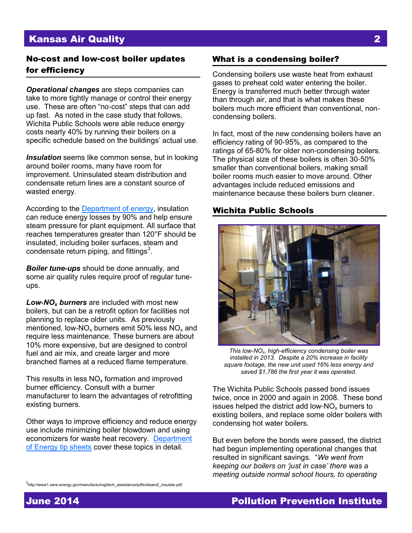## Kansas Air Quality 2

### No-cost and low-cost boiler updates What is a condensing boiler? for efficiency

*Operational changes* are steps companies can take to more tightly manage or control their energy use. These are often "no-cost" steps that can add up fast. As noted in the case study that follows, Wichita Public Schools were able reduce energy costs nearly 40% by running their boilers on a specific schedule based on the buildings' actual use.

*Insulation* seems like common sense, but in looking around boiler rooms, many have room for improvement. Uninsulated steam distribution and condensate return lines are a constant source of wasted energy.

According to the [Department of energy,](http://www1.eere.energy.gov/manufacturing/tech_assistance/pdfs/steam2_insulate.pdf) insulation can reduce energy losses by 90% and help ensure steam pressure for plant equipment. All surface that reaches temperatures greater than 120°F should be insulated, including boiler surfaces, steam and condensate return piping, and fittings $3$ .

*Boiler tune-ups* should be done annually, and some air quality rules require proof of regular tuneups.

*Low-NO<sup>x</sup> burners* are included with most new boilers, but can be a retrofit option for facilities not planning to replace older units. As previously mentioned, low-NO<sub>x</sub> burners emit 50% less NO<sub>x</sub> and require less maintenance. These burners are about 10% more expensive, but are designed to control fuel and air mix, and create larger and more branched flames at a reduced flame temperature.

This results in less  $NO<sub>x</sub>$  formation and improved burner efficiency. Consult with a burner manufacturer to learn the advantages of retrofitting existing burners.

Other ways to improve efficiency and reduce energy use include minimizing boiler blowdown and using economizers for waste heat recovery. [Department](http://www1.eere.energy.gov/manufacturing/tech_assistance/steam.html)  [of Energy tip sheets](http://www1.eere.energy.gov/manufacturing/tech_assistance/steam.html) cover these topics in detail.

Condensing boilers use waste heat from exhaust gases to preheat cold water entering the boiler. Energy is transferred much better through water than through air, and that is what makes these boilers much more efficient than conventional, noncondensing boilers.

In fact, most of the new condensing boilers have an efficiency rating of 90-95%, as compared to the ratings of 65-80% for older non-condensing boilers. The physical size of these boilers is often 30-50% smaller than conventional boilers, making small boiler rooms much easier to move around. Other advantages include reduced emissions and maintenance because these boilers burn cleaner.

#### Wichita Public Schools



*This low-NOx, high-efficiency condensing boiler was installed in 2013. Despite a 20% increase in facility square footage, the new unit used 16% less energy and saved \$1,786 the first year it was operated.* 

The Wichita Public Schools passed bond issues twice, once in 2000 and again in 2008. These bond issues helped the district add low- $NO<sub>x</sub>$  burners to existing boilers, and replace some older boilers with condensing hot water boilers.

But even before the bonds were passed, the district had begun implementing operational changes that resulted in significant savings. "*We went from keeping our boilers on 'just in case' there was a meeting outside normal school hours, to operating* 

# June 2014 Pollution Prevention Institute